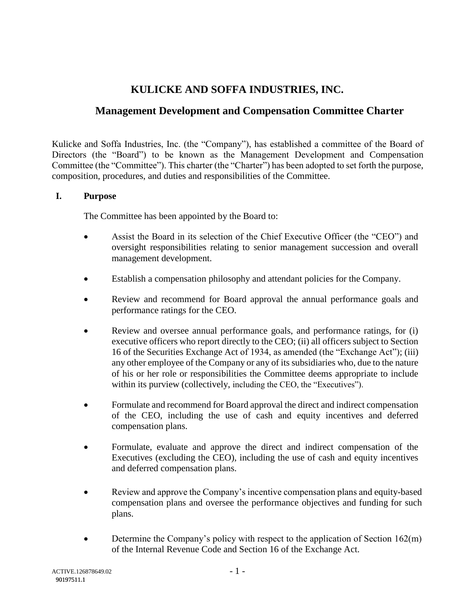# **KULICKE AND SOFFA INDUSTRIES, INC.**

# **Management Development and Compensation Committee Charter**

Kulicke and Soffa Industries, Inc. (the "Company"), has established a committee of the Board of Directors (the "Board") to be known as the Management Development and Compensation Committee (the "Committee"). This charter (the "Charter") has been adopted to set forth the purpose, composition, procedures, and duties and responsibilities of the Committee.

# **I. Purpose**

The Committee has been appointed by the Board to:

- Assist the Board in its selection of the Chief Executive Officer (the "CEO") and oversight responsibilities relating to senior management succession and overall management development.
- Establish a compensation philosophy and attendant policies for the Company.
- Review and recommend for Board approval the annual performance goals and performance ratings for the CEO.
- Review and oversee annual performance goals, and performance ratings, for (i) executive officers who report directly to the CEO; (ii) all officers subject to Section 16 of the Securities Exchange Act of 1934, as amended (the "Exchange Act"); (iii) any other employee of the Company or any of its subsidiaries who, due to the nature of his or her role or responsibilities the Committee deems appropriate to include within its purview (collectively, including the CEO, the "Executives").
- Formulate and recommend for Board approval the direct and indirect compensation of the CEO, including the use of cash and equity incentives and deferred compensation plans.
- Formulate, evaluate and approve the direct and indirect compensation of the Executives (excluding the CEO), including the use of cash and equity incentives and deferred compensation plans.
- Review and approve the Company's incentive compensation plans and equity-based compensation plans and oversee the performance objectives and funding for such plans.
- Determine the Company's policy with respect to the application of Section  $162(m)$ of the Internal Revenue Code and Section 16 of the Exchange Act.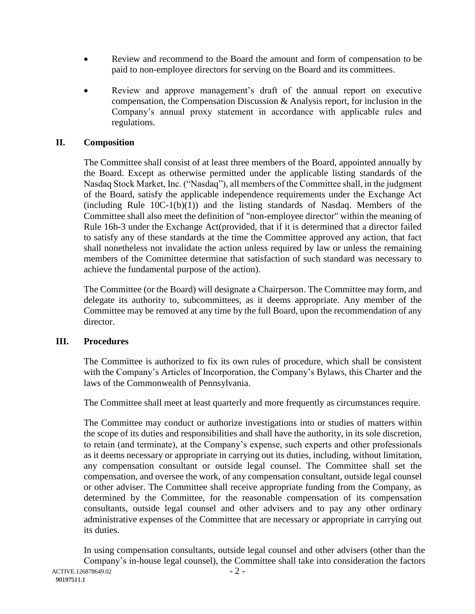- Review and recommend to the Board the amount and form of compensation to be paid to non-employee directors for serving on the Board and its committees.
- Review and approve management's draft of the annual report on executive compensation, the Compensation Discussion & Analysis report, for inclusion in the Company's annual proxy statement in accordance with applicable rules and regulations.

#### **II. Composition**

The Committee shall consist of at least three members of the Board, appointed annually by the Board. Except as otherwise permitted under the applicable listing standards of the Nasdaq Stock Market, Inc. ("Nasdaq"), all members of the Committee shall, in the judgment of the Board, satisfy the applicable independence requirements under the Exchange Act  $(including Rule 10C-1(b)(1))$  and the listing standards of Nasdaq. Members of the Committee shall also meet the definition of "non-employee director" within the meaning of Rule 16b-3 under the Exchange Act(provided, that if it is determined that a director failed to satisfy any of these standards at the time the Committee approved any action, that fact shall nonetheless not invalidate the action unless required by law or unless the remaining members of the Committee determine that satisfaction of such standard was necessary to achieve the fundamental purpose of the action).

The Committee (or the Board) will designate a Chairperson. The Committee may form, and delegate its authority to, subcommittees, as it deems appropriate. Any member of the Committee may be removed at any time by the full Board, upon the recommendation of any director.

# **III. Procedures**

The Committee is authorized to fix its own rules of procedure, which shall be consistent with the Company's Articles of Incorporation, the Company's Bylaws, this Charter and the laws of the Commonwealth of Pennsylvania.

The Committee shall meet at least quarterly and more frequently as circumstances require.

The Committee may conduct or authorize investigations into or studies of matters within the scope of its duties and responsibilities and shall have the authority, in its sole discretion, to retain (and terminate), at the Company's expense, such experts and other professionals as it deems necessary or appropriate in carrying out its duties, including, without limitation, any compensation consultant or outside legal counsel. The Committee shall set the compensation, and oversee the work, of any compensation consultant, outside legal counsel or other adviser. The Committee shall receive appropriate funding from the Company, as determined by the Committee, for the reasonable compensation of its compensation consultants, outside legal counsel and other advisers and to pay any other ordinary administrative expenses of the Committee that are necessary or appropriate in carrying out its duties.

 $-2-$ ACTIVE.126878649.02 In using compensation consultants, outside legal counsel and other advisers (other than the Company's in-house legal counsel), the Committee shall take into consideration the factors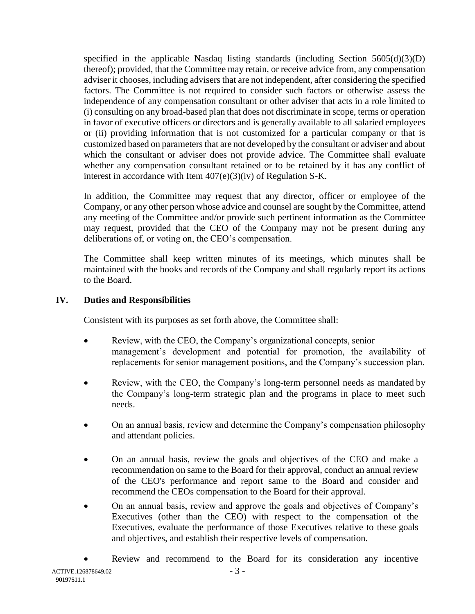specified in the applicable Nasdaq listing standards (including Section  $5605(d)(3)(D)$ thereof); provided, that the Committee may retain, or receive advice from, any compensation adviser it chooses, including advisers that are not independent, after considering the specified factors. The Committee is not required to consider such factors or otherwise assess the independence of any compensation consultant or other adviser that acts in a role limited to (i) consulting on any broad-based plan that does not discriminate in scope, terms or operation in favor of executive officers or directors and is generally available to all salaried employees or (ii) providing information that is not customized for a particular company or that is customized based on parameters that are not developed by the consultant or adviser and about which the consultant or adviser does not provide advice. The Committee shall evaluate whether any compensation consultant retained or to be retained by it has any conflict of interest in accordance with Item 407(e)(3)(iv) of Regulation S-K.

In addition, the Committee may request that any director, officer or employee of the Company, or any other person whose advice and counsel are sought by the Committee, attend any meeting of the Committee and/or provide such pertinent information as the Committee may request, provided that the CEO of the Company may not be present during any deliberations of, or voting on, the CEO's compensation.

The Committee shall keep written minutes of its meetings, which minutes shall be maintained with the books and records of the Company and shall regularly report its actions to the Board.

# **IV. Duties and Responsibilities**

Consistent with its purposes as set forth above, the Committee shall:

- Review, with the CEO, the Company's organizational concepts, senior management's development and potential for promotion, the availability of replacements for senior management positions, and the Company's succession plan.
- Review, with the CEO, the Company's long-term personnel needs as mandated by the Company's long-term strategic plan and the programs in place to meet such needs.
- On an annual basis, review and determine the Company's compensation philosophy and attendant policies.
- On an annual basis, review the goals and objectives of the CEO and make a recommendation on same to the Board for their approval, conduct an annual review of the CEO's performance and report same to the Board and consider and recommend the CEOs compensation to the Board for their approval.
- On an annual basis, review and approve the goals and objectives of Company's Executives (other than the CEO) with respect to the compensation of the Executives, evaluate the performance of those Executives relative to these goals and objectives, and establish their respective levels of compensation.
- Review and recommend to the Board for its consideration any incentive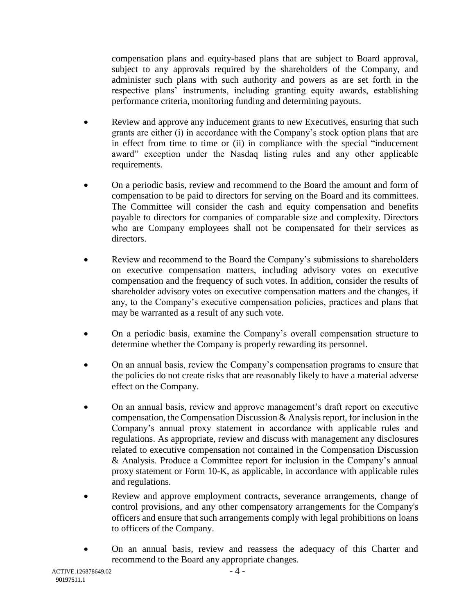compensation plans and equity-based plans that are subject to Board approval, subject to any approvals required by the shareholders of the Company, and administer such plans with such authority and powers as are set forth in the respective plans' instruments, including granting equity awards, establishing performance criteria, monitoring funding and determining payouts.

- Review and approve any inducement grants to new Executives, ensuring that such grants are either (i) in accordance with the Company's stock option plans that are in effect from time to time or (ii) in compliance with the special "inducement award" exception under the Nasdaq listing rules and any other applicable requirements.
- On a periodic basis, review and recommend to the Board the amount and form of compensation to be paid to directors for serving on the Board and its committees. The Committee will consider the cash and equity compensation and benefits payable to directors for companies of comparable size and complexity. Directors who are Company employees shall not be compensated for their services as directors.
- Review and recommend to the Board the Company's submissions to shareholders on executive compensation matters, including advisory votes on executive compensation and the frequency of such votes. In addition, consider the results of shareholder advisory votes on executive compensation matters and the changes, if any, to the Company's executive compensation policies, practices and plans that may be warranted as a result of any such vote.
- On a periodic basis, examine the Company's overall compensation structure to determine whether the Company is properly rewarding its personnel.
- On an annual basis, review the Company's compensation programs to ensure that the policies do not create risks that are reasonably likely to have a material adverse effect on the Company.
- On an annual basis, review and approve management's draft report on executive compensation, the Compensation Discussion & Analysis report, for inclusion in the Company's annual proxy statement in accordance with applicable rules and regulations. As appropriate, review and discuss with management any disclosures related to executive compensation not contained in the Compensation Discussion & Analysis. Produce a Committee report for inclusion in the Company's annual proxy statement or Form 10-K, as applicable, in accordance with applicable rules and regulations.
- Review and approve employment contracts, severance arrangements, change of control provisions, and any other compensatory arrangements for the Company's officers and ensure that such arrangements comply with legal prohibitions on loans to officers of the Company.
- On an annual basis, review and reassess the adequacy of this Charter and recommend to the Board any appropriate changes.